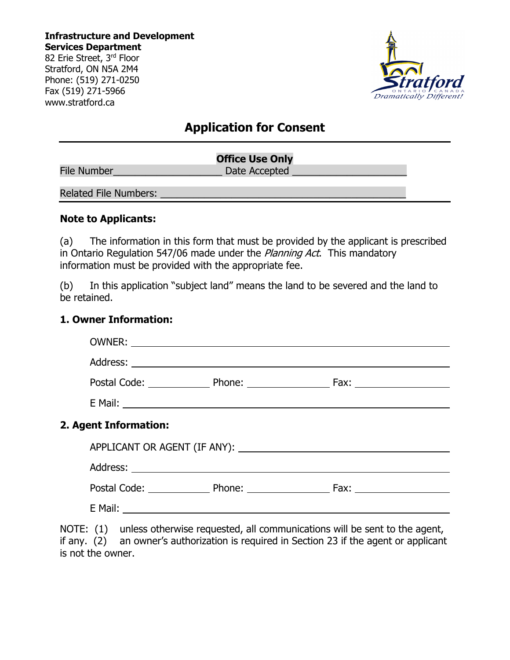**Infrastructure and Development Services Department**

82 Erie Street, 3rd Floor Stratford, ON N5A 2M4 Phone: (519) 271-0250 Fax (519) 271-5966 www.stratford.ca



# **Application for Consent**

|                              | <b>Office Use Only</b> |  |
|------------------------------|------------------------|--|
| <b>File Number</b>           | Date Accepted          |  |
| <b>Related File Numbers:</b> |                        |  |

#### **Note to Applicants:**

(a) The information in this form that must be provided by the applicant is prescribed in Ontario Regulation 547/06 made under the *Planning Act*. This mandatory information must be provided with the appropriate fee.

(b) In this application "subject land" means the land to be severed and the land to be retained.

### **1. Owner Information:**

| 2. Agent Information: |  |
|-----------------------|--|
|                       |  |
|                       |  |
|                       |  |
|                       |  |
|                       |  |

NOTE: (1) unless otherwise requested, all communications will be sent to the agent, if any. (2) an owner's authorization is required in Section 23 if the agent or applicant is not the owner.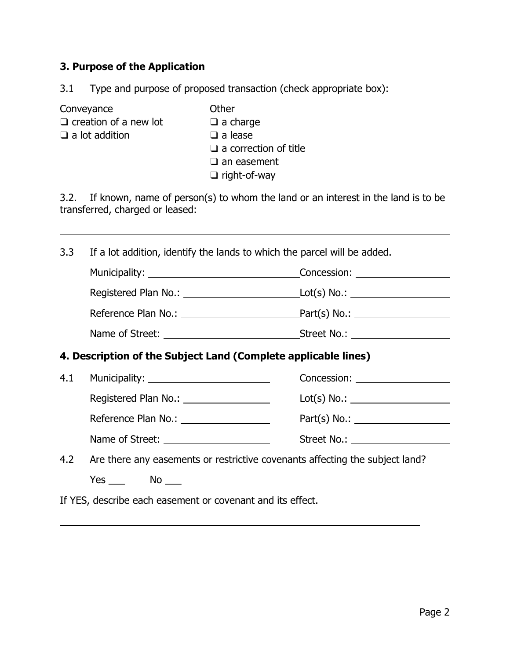## **3. Purpose of the Application**

- 3.1 Type and purpose of proposed transaction (check appropriate box):
- 

 $\overline{a}$ 

 $\overline{a}$ 

Conveyance  $\Box$  Conveyance  $\Box$  Conveyance  $\Box$  Converged  $\Box$  Converged  $\Box$  Converged  $\Box$  Converged  $\Box$  Converged  $\Box$  Converged  $\Box$  Converged  $\Box$  Converged  $\Box$  Converged  $\Box$  Converged  $\Box$  Converged  $\Box$  Converge  $\Box$  creation of a new lot

❑ a lot addition ❑ a lease

- 
- - ❑ a correction of title
	- ❑ an easement
	- ❑ right-of-way

3.2. If known, name of person(s) to whom the land or an interest in the land is to be transferred, charged or leased:

3.3 If a lot addition, identify the lands to which the parcel will be added.

|                                       | Concession: <b>Example 2019</b> |
|---------------------------------------|---------------------------------|
| Registered Plan No.: ________________ |                                 |
| Reference Plan No.:                   | Part(s) No.:                    |
| Name of Street: _                     | Street No.:                     |

**4. Description of the Subject Land (Complete applicable lines)** 

| Concession: <u>contract and contract and contract and contract and contract and contract and contract and contract and contract and contract and contract and contract and contract and contract and contract and contract and c</u> |
|--------------------------------------------------------------------------------------------------------------------------------------------------------------------------------------------------------------------------------------|
| Lot(s) No.:                                                                                                                                                                                                                          |
| $Part(s) No.$ :                                                                                                                                                                                                                      |
| Street No.: <b>Example 20</b>                                                                                                                                                                                                        |
|                                                                                                                                                                                                                                      |

4.2 Are there any easements or restrictive covenants affecting the subject land?

Yes \_\_\_ No \_\_

If YES, describe each easement or covenant and its effect.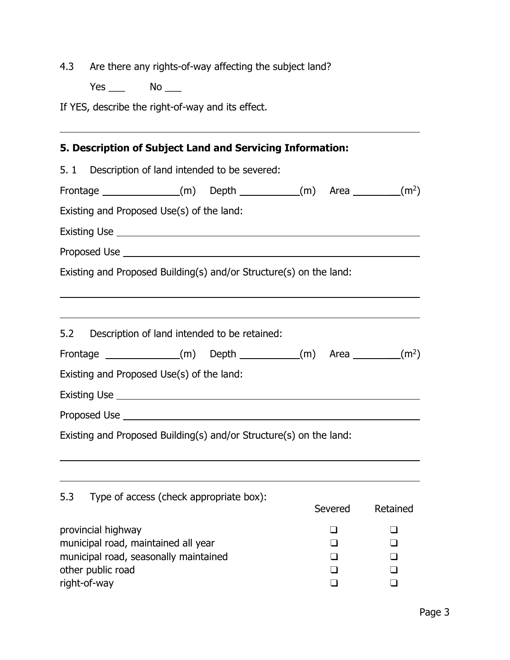4.3 Are there any rights-of-way affecting the subject land?

Yes \_\_\_ No \_\_\_

If YES, describe the right-of-way and its effect.

| 5. Description of Subject Land and Servicing Information:                                                                               |  |          |                                        |
|-----------------------------------------------------------------------------------------------------------------------------------------|--|----------|----------------------------------------|
| 5. 1 Description of land intended to be severed:                                                                                        |  |          |                                        |
| Frontage $(m)$ Depth $(m)$ Area $(m^2)$                                                                                                 |  |          |                                        |
| Existing and Proposed Use(s) of the land:                                                                                               |  |          |                                        |
|                                                                                                                                         |  |          |                                        |
|                                                                                                                                         |  |          |                                        |
| Existing and Proposed Building(s) and/or Structure(s) on the land:                                                                      |  |          |                                        |
| <u> 1989 - Johann Stoff, amerikansk politiker (d. 1989)</u><br>5.2 Description of land intended to be retained:                         |  |          |                                        |
| Frontage $(m)$ Depth $(m)$ Area $(m^2)$                                                                                                 |  |          |                                        |
| Existing and Proposed Use(s) of the land:                                                                                               |  |          |                                        |
|                                                                                                                                         |  |          |                                        |
|                                                                                                                                         |  |          |                                        |
| Existing and Proposed Building(s) and/or Structure(s) on the land:                                                                      |  |          |                                        |
| 5.3 Type of access (check appropriate box):                                                                                             |  | Severed  | Retained                               |
| provincial highway<br>municipal road, maintained all year<br>municipal road, seasonally maintained<br>other public road<br>right-of-way |  | $\sqcup$ | H<br>$\Box$<br>$\Box$<br>- 1<br>$\Box$ |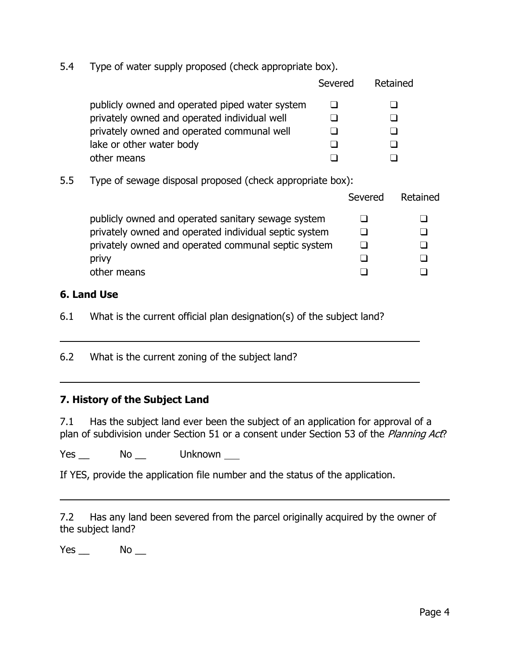5.4 Type of water supply proposed (check appropriate box).

|                                                | Severed | Retained |
|------------------------------------------------|---------|----------|
| publicly owned and operated piped water system |         |          |
| privately owned and operated individual well   |         |          |
| privately owned and operated communal well     |         |          |
| lake or other water body                       |         |          |
| other means                                    |         |          |

5.5 Type of sewage disposal proposed (check appropriate box):

|                                                       | Severed | Retained |
|-------------------------------------------------------|---------|----------|
| publicly owned and operated sanitary sewage system    |         |          |
| privately owned and operated individual septic system |         |          |
| privately owned and operated communal septic system   |         |          |
| privy                                                 |         |          |
| other means                                           |         |          |
|                                                       |         |          |

## **6. Land Use**

 $\overline{a}$ 

 $\overline{a}$ 

6.1 What is the current official plan designation(s) of the subject land?

6.2 What is the current zoning of the subject land?

### **7. History of the Subject Land**

7.1 Has the subject land ever been the subject of an application for approval of a plan of subdivision under Section 51 or a consent under Section 53 of the Planning Act?

Yes No Unknown

If YES, provide the application file number and the status of the application.

7.2 Has any land been severed from the parcel originally acquired by the owner of the subject land?

 $Yes$   $No$   $\_\_$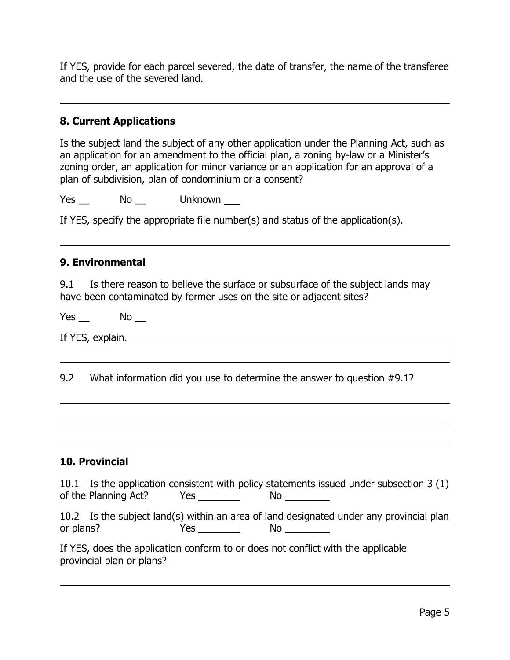If YES, provide for each parcel severed, the date of transfer, the name of the transferee and the use of the severed land.

## **8. Current Applications**

 $\overline{a}$ 

l

 $\overline{a}$ 

 $\overline{a}$ 

 $\overline{a}$ 

Is the subject land the subject of any other application under the Planning Act, such as an application for an amendment to the official plan, a zoning by-law or a Minister's zoning order, an application for minor variance or an application for an approval of a plan of subdivision, plan of condominium or a consent?

Yes Mo Unknown

If YES, specify the appropriate file number(s) and status of the application(s).

### **9. Environmental**

9.1 Is there reason to believe the surface or subsurface of the subject lands may have been contaminated by former uses on the site or adjacent sites?

 $Yes$   $No$   $\_\_$ 

If YES, explain.

9.2 What information did you use to determine the answer to question #9.1?

### **10. Provincial**

| 10.1 Is the application consistent with policy statements issued under subsection 3 (1) |     |           |  |  |
|-----------------------------------------------------------------------------------------|-----|-----------|--|--|
| of the Planning Act?                                                                    | Yes | <b>NO</b> |  |  |

|           | 10.2 Is the subject land(s) within an area of land designated under any provincial plan |    |  |  |  |
|-----------|-----------------------------------------------------------------------------------------|----|--|--|--|
| or plans? | Yes                                                                                     | No |  |  |  |

| If YES, does the application conform to or does not conflict with the applicable |  |  |
|----------------------------------------------------------------------------------|--|--|
| provincial plan or plans?                                                        |  |  |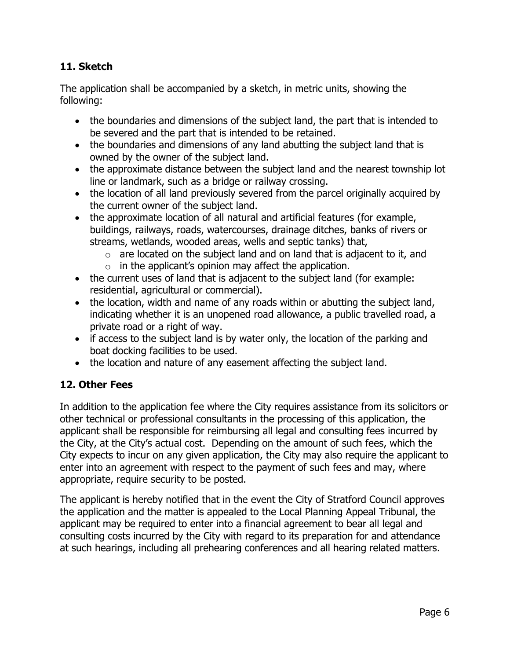## **11. Sketch**

The application shall be accompanied by a sketch, in metric units, showing the following:

- the boundaries and dimensions of the subject land, the part that is intended to be severed and the part that is intended to be retained.
- the boundaries and dimensions of any land abutting the subject land that is owned by the owner of the subject land.
- the approximate distance between the subject land and the nearest township lot line or landmark, such as a bridge or railway crossing.
- the location of all land previously severed from the parcel originally acquired by the current owner of the subject land.
- the approximate location of all natural and artificial features (for example, buildings, railways, roads, watercourses, drainage ditches, banks of rivers or streams, wetlands, wooded areas, wells and septic tanks) that,
	- $\circ$  are located on the subject land and on land that is adjacent to it, and
	- $\circ$  in the applicant's opinion may affect the application.
- the current uses of land that is adjacent to the subject land (for example: residential, agricultural or commercial).
- the location, width and name of any roads within or abutting the subject land, indicating whether it is an unopened road allowance, a public travelled road, a private road or a right of way.
- if access to the subject land is by water only, the location of the parking and boat docking facilities to be used.
- the location and nature of any easement affecting the subject land.

## **12. Other Fees**

In addition to the application fee where the City requires assistance from its solicitors or other technical or professional consultants in the processing of this application, the applicant shall be responsible for reimbursing all legal and consulting fees incurred by the City, at the City's actual cost. Depending on the amount of such fees, which the City expects to incur on any given application, the City may also require the applicant to enter into an agreement with respect to the payment of such fees and may, where appropriate, require security to be posted.

The applicant is hereby notified that in the event the City of Stratford Council approves the application and the matter is appealed to the Local Planning Appeal Tribunal, the applicant may be required to enter into a financial agreement to bear all legal and consulting costs incurred by the City with regard to its preparation for and attendance at such hearings, including all prehearing conferences and all hearing related matters.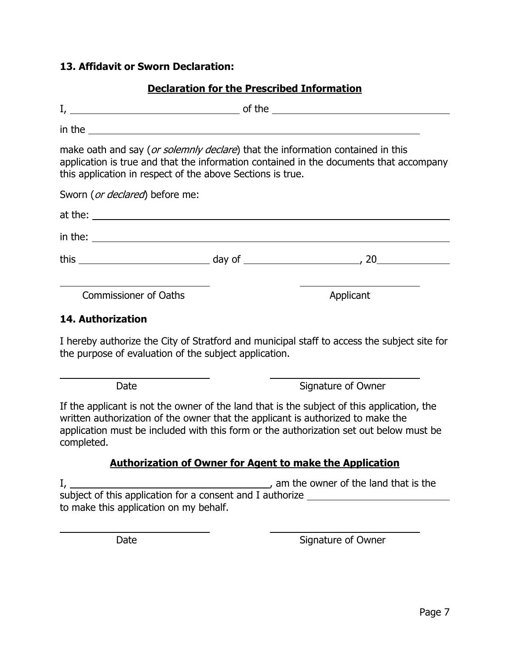### **13. Affidavit or Sworn Declaration:**

## **Declaration for the Prescribed Information**

| in the $\frac{1}{2}$ in the $\frac{1}{2}$ in the $\frac{1}{2}$ in the $\frac{1}{2}$ in $\frac{1}{2}$ in $\frac{1}{2}$ in $\frac{1}{2}$ in $\frac{1}{2}$ in $\frac{1}{2}$ in $\frac{1}{2}$ in $\frac{1}{2}$ in $\frac{1}{2}$ in $\frac{1}{2}$ in $\frac{1}{2}$ in $\frac{1}{2}$ in $\frac{1}{2$ |           |
|------------------------------------------------------------------------------------------------------------------------------------------------------------------------------------------------------------------------------------------------------------------------------------------------|-----------|
| make oath and say (or solemnly declare) that the information contained in this<br>application is true and that the information contained in the documents that accompany<br>this application in respect of the above Sections is true.                                                         |           |
| Sworn ( <i>or declared</i> ) before me:                                                                                                                                                                                                                                                        |           |
|                                                                                                                                                                                                                                                                                                |           |
| $\frac{1}{2}$ in the:                                                                                                                                                                                                                                                                          |           |
|                                                                                                                                                                                                                                                                                                |           |
| <b>Commissioner of Oaths</b>                                                                                                                                                                                                                                                                   | Applicant |

#### **14. Authorization**

 $\overline{a}$ 

 $\overline{a}$ 

I hereby authorize the City of Stratford and municipal staff to access the subject site for the purpose of evaluation of the subject application.

Date Signature of Owner

If the applicant is not the owner of the land that is the subject of this application, the written authorization of the owner that the applicant is authorized to make the application must be included with this form or the authorization set out below must be completed.

### **Authorization of Owner for Agent to make the Application**

I, 1. Am the owner of the land that is the subject of this application for a consent and I authorize \_\_\_\_\_\_\_\_\_\_\_\_\_\_\_\_\_\_\_\_\_\_ to make this application on my behalf.

Date **Signature of Owner**